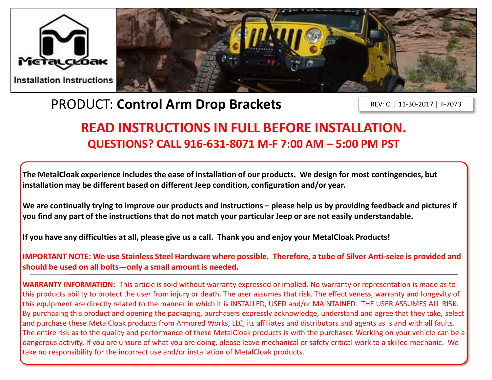



# PRODUCT: **Control Arm Drop Brackets**

REV: C | 11-30-2017 | II-7073

## **READ INSTRUCTIONS IN FULL BEFORE INSTALLATION. QUESTIONS? CALL 916-631-8071 M-F 7:00 AM – 5:00 PM PST**

**The MetalCloak experience includes the ease of installation of our products. We design for most contingencies, but installation may be different based on different Jeep condition, configuration and/or year.**

We are continually trying to improve our products and instructions – please help us by providing feedback and pictures if **you find any part of the instructions that do not match your particular Jeep or are not easily understandable.** 

**If you have any difficulties at all, please give us a call. Thank you and enjoy your MetalCloak Products!** 

**IMPORTANT NOTE: We use Stainless Steel Hardware where possible. Therefore, a tube of Silver Anti-seize is provided and should be used on all bolts—only a small amount is needed.**

**WARRANTY INFORMATION:** This article is sold without warranty expressed or implied. No warranty or representation is made as to this products ability to protect the user from injury or death. The user assumes that risk. The effectiveness, warranty and longevity of this equipment are directly related to the manner in which it is INSTALLED, USED and/or MAINTAINED. THE USER ASSUMES ALL RISK. By purchasing this product and opening the packaging, purchasers expressly acknowledge, understand and agree that they take, select and purchase these MetalCloak products from Armored Works, LLC, its affiliates and distributors and agents as is and with all faults. The entire risk as to the quality and performance of these MetalCloak products is with the purchaser. Working on your vehicle can be a dangerous activity. If you are unsure of what you are doing, please leave mechanical or safety critical work to a skilled mechanic. We take no responsibility for the incorrect use and/or installation of MetalCloak products.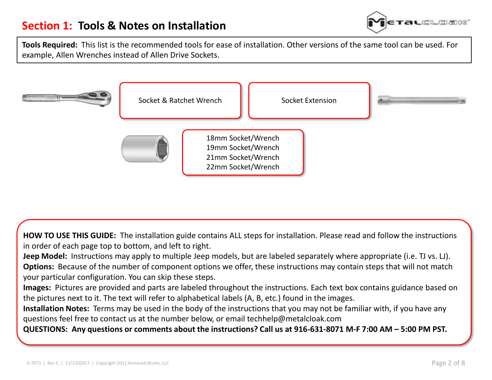

**Tools Required:** This list is the recommended tools for ease of installation. Other versions of the same tool can be used. For example, Allen Wrenches instead of Allen Drive Sockets.



**HOW TO USE THIS GUIDE:** The installation guide contains ALL steps for installation. Please read and follow the instructions in order of each page top to bottom, and left to right.

**Jeep Model:** Instructions may apply to multiple Jeep models, but are labeled separately where appropriate (i.e. TJ vs. LJ). **Options:** Because of the number of component options we offer, these instructions may contain steps that will not match your particular configuration. You can skip these steps.

**Images:** Pictures are provided and parts are labeled throughout the instructions. Each text box contains guidance based on the pictures next to it. The text will refer to alphabetical labels (A, B, etc.) found in the images.

**Installation Notes:** Terms may be used in the body of the instructions that you may not be familiar with, if you have any questions feel free to contact us at the number below, or email techhelp@metalcloak.com

**QUESTIONS: Any questions or comments about the instructions? Call us at 916-631-8071 M-F 7:00 AM – 5:00 PM PST.**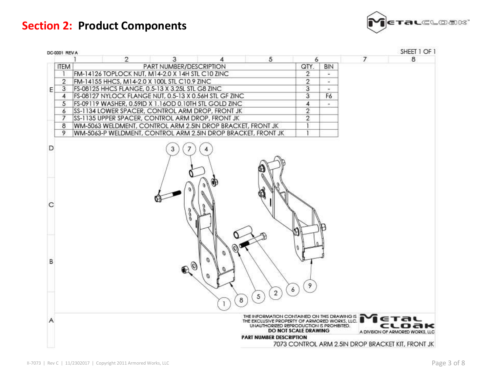**Section 2: Product Components**



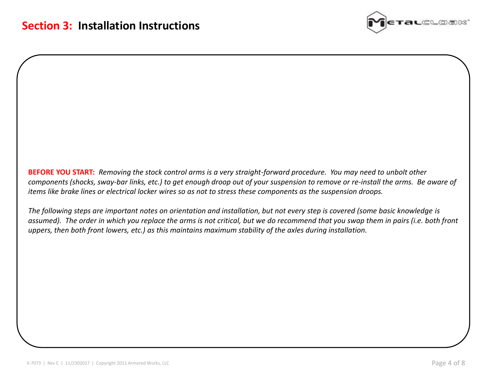

**BEFORE YOU START:** *Removing the stock control arms is a very straight-forward procedure. You may need to unbolt other components (shocks, sway-bar links, etc.) to get enough droop out of your suspension to remove or re-install the arms. Be aware of items like brake lines or electrical locker wires so as not to stress these components as the suspension droops.*

*The following steps are important notes on orientation and installation, but not every step is covered (some basic knowledge is assumed). The order in which you replace the arms is not critical, but we do recommend that you swap them in pairs (i.e. both front uppers, then both front lowers, etc.) as this maintains maximum stability of the axles during installation.*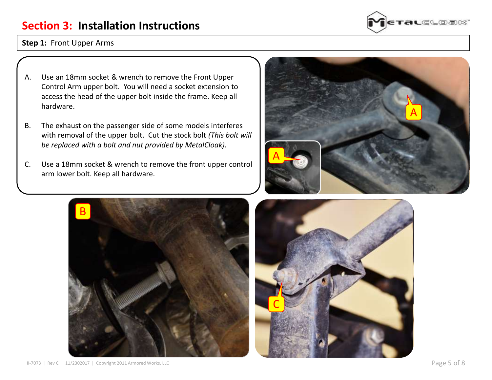### **Section 3: Installation Instructions**



#### **Step 1:** Front Upper Arms

- A. Use an 18mm socket & wrench to remove the Front Upper Control Arm upper bolt. You will need a socket extension to access the head of the upper bolt inside the frame. Keep all hardware.
- B. The exhaust on the passenger side of some models interferes with removal of the upper bolt. Cut the stock bolt *(This bolt will be replaced with a bolt and nut provided by MetalCloak).*
- C. Use a 18mm socket & wrench to remove the front upper control arm lower bolt. Keep all hardware.





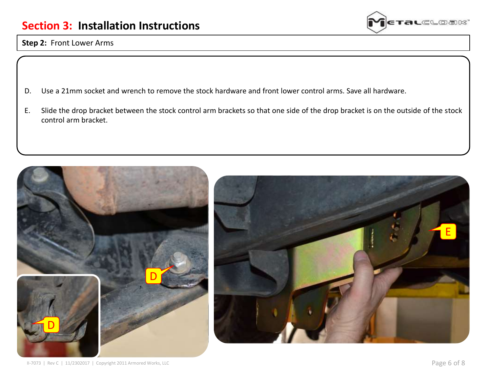

### **Step 2:** Front Lower Arms

- D. Use a 21mm socket and wrench to remove the stock hardware and front lower control arms. Save all hardware.
- E. Slide the drop bracket between the stock control arm brackets so that one side of the drop bracket is on the outside of the stock control arm bracket.

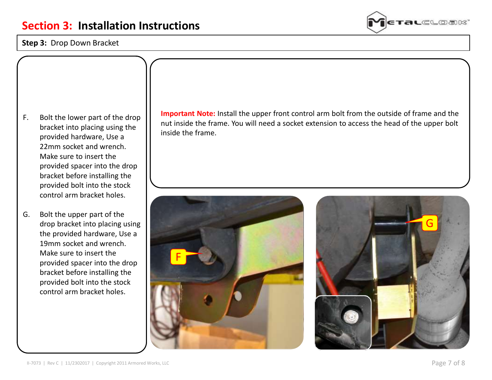#### **Step 3:** Drop Down Bracket



F. Bolt the lower part of the drop bracket into placing using the provided hardware, Use a 22mm socket and wrench. Make sure to insert the provided spacer into the drop bracket before installing the provided bolt into the stock control arm bracket holes.

G. Bolt the upper part of the drop bracket into placing using the provided hardware, Use a 19mm socket and wrench. Make sure to insert the provided spacer into the drop bracket before installing the provided bolt into the stock control arm bracket holes.

**Important Note:** Install the upper front control arm bolt from the outside of frame and the nut inside the frame. You will need a socket extension to access the head of the upper bolt inside the frame.